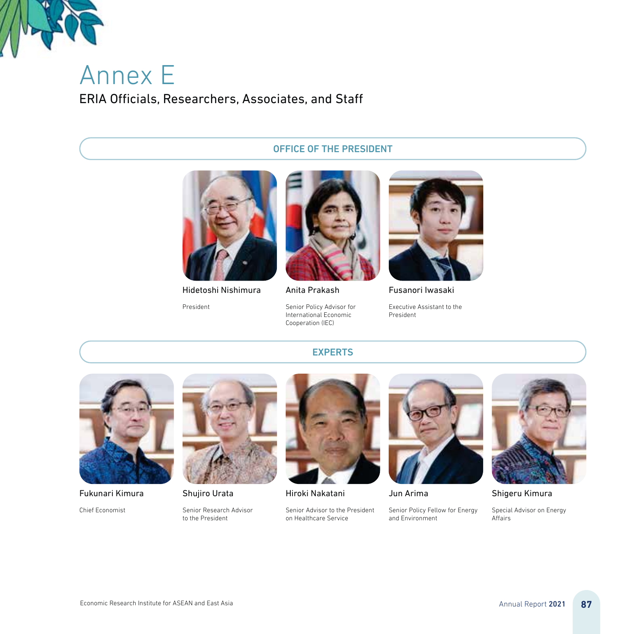

# Annex E ERIA Officials, Researchers, Associates, and Staff

#### OFFICE OF THE PRESIDENT



Hidetoshi Nishimura

President



Anita Prakash

Senior Policy Advisor for International Economic Cooperation (IEC)



Fusanori Iwasaki

Executive Assistant to the President



Fukunari Kimura

Chief Economist



Shujiro Urata

Senior Research Advisor to the President



EXPERTS

Hiroki Nakatani

Senior Advisor to the President on Healthcare Service



Jun Arima

Senior Policy Fellow for Energy and Environment



Shigeru Kimura

Special Advisor on Energy Affairs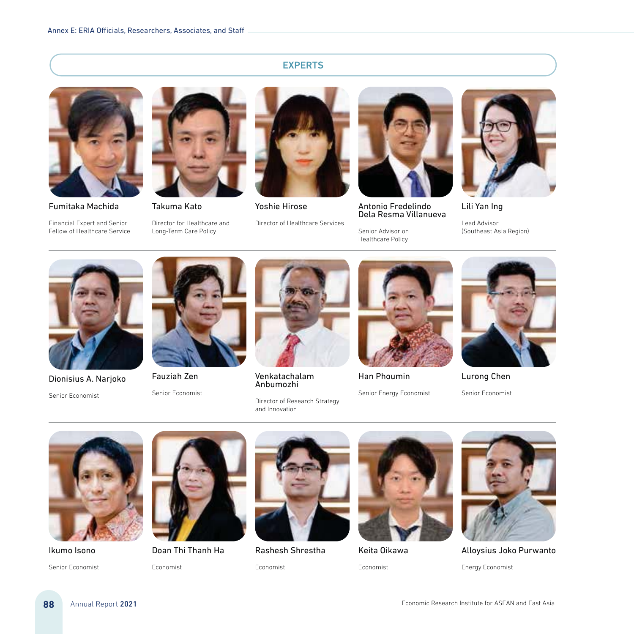### EXPERTS



Fumitaka Machida

Financial Expert and Senior Fellow of Healthcare Service



Takuma Kato

Director for Healthcare and Long-Term Care Policy



Yoshie Hirose

Director of Healthcare Services



Antonio Fredelindo<br>Dela Resma Villanueva

Senior Advisor on Healthcare Policy



Lili Yan Ing

Lead Advisor (Southeast Asia Region)



Dionisius A. Narjoko Senior Economist



Fauziah Zen

Senior Economist



Venkatachalam Anbumozhi

Director of Research Strategy and Innovation



Han Phoumin

Senior Energy Economist



Lurong Chen

Senior Economist



Ikumo Isono

Senior Economist



Doan Thi Thanh Ha Economist



Rashesh Shrestha

Economist



Keita Oikawa Economist



Alloysius Joko Purwanto Energy Economist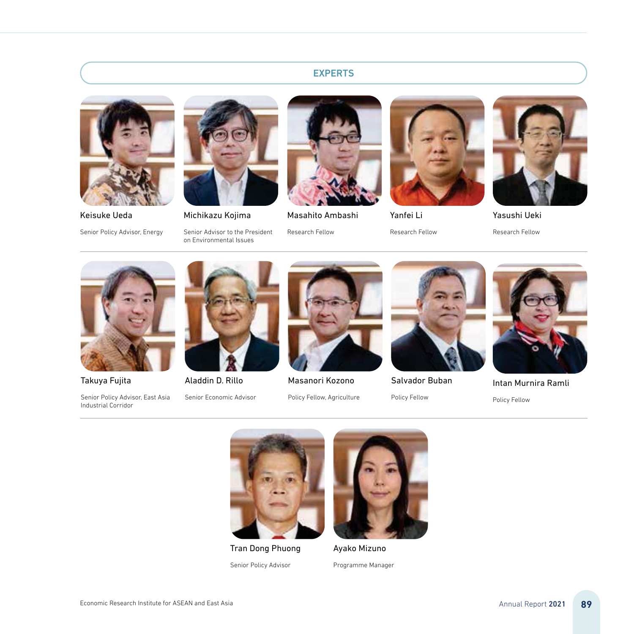# EXPERTS



Keisuke Ueda

Senior Policy Advisor, Energy



Michikazu Kojima

Senior Advisor to the President on Environmental Issues



Masahito Ambashi

Research Fellow



Yanfei Li Research Fellow



Yasushi Ueki Research Fellow



Takuya Fujita

Senior Policy Advisor, East Asia Industrial Corridor



Aladdin D. Rillo

Senior Economic Advisor



Masanori Kozono Policy Fellow, Agriculture



Salvador Buban

Policy Fellow



Intan Murnira Ramli

Policy Fellow



Tran Dong Phuong Senior Policy Advisor



Ayako Mizuno Programme Manager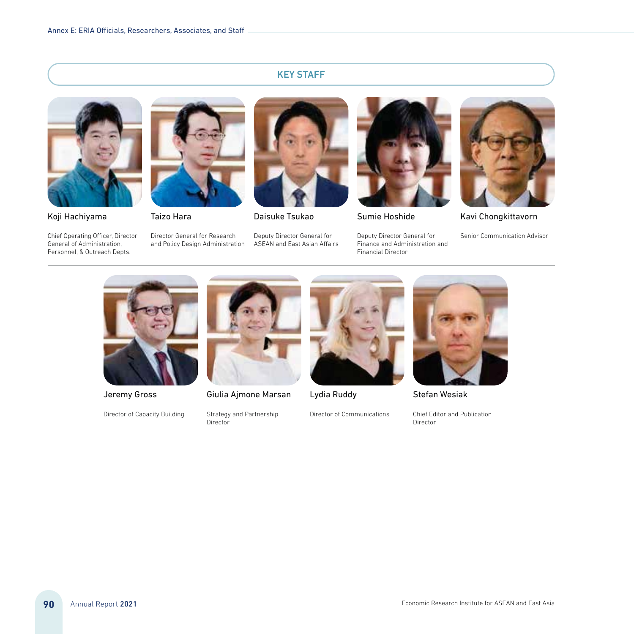# KEY STAFF



Koji Hachiyama

Chief Operating Officer, Director General of Administration, Personnel, & Outreach Depts.



Director General for Research and Policy Design Administration



Daisuke Tsukao

Deputy Director General for ASEAN and East Asian Affairs



Sumie Hoshide

Deputy Director General for Finance and Administration and Financial Director



Kavi Chongkittavorn

Senior Communication Advisor



Jeremy Gross

Director of Capacity Building



Giulia Ajmone Marsan

Strategy and Partnership **Director** 

Lydia Ruddy





Stefan Wesiak

Chief Editor and Publication Director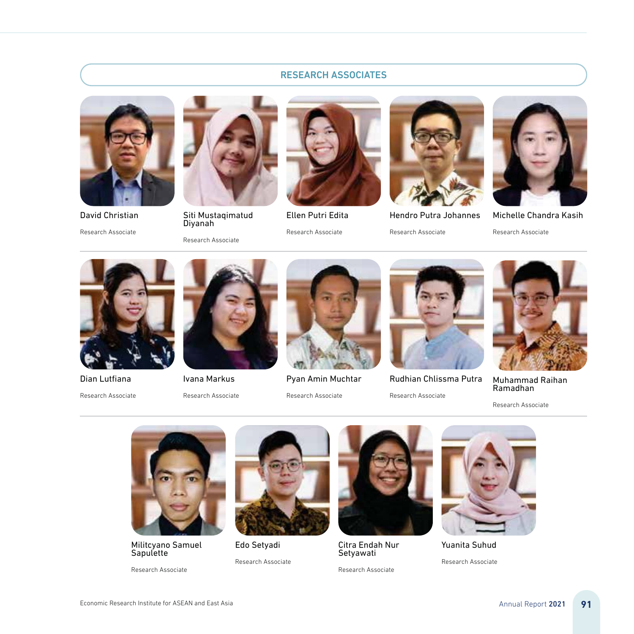# RESEARCH ASSOCIATES



David Christian Research Associate



Siti Mustaqimatud Diyanah

Research Associate



Ellen Putri Edita Research Associate



Hendro Putra Johannes Research Associate



Michelle Chandra Kasih

Research Associate

Dian Lutfiana

Research Associate



Ivana Markus

Research Associate



Pyan Amin Muchtar

Research Associate



Rudhian Chlissma Putra Research Associate



Muhammad Raihan Ramadhan

Research Associate



Militcyano Samuel Sapulette

Research Associate



Edo Setyadi Research Associate



Citra Endah Nur Setyawati

Research Associate



Yuanita Suhud Research Associate